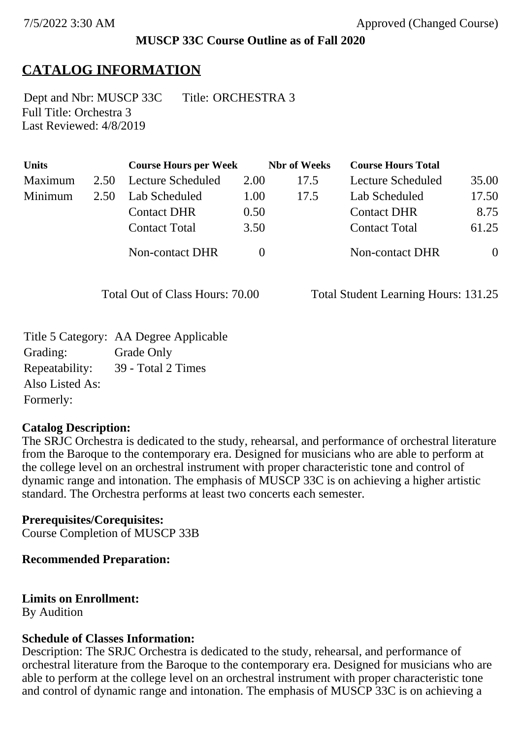## **MUSCP 33C Course Outline as of Fall 2020**

# **CATALOG INFORMATION**

Full Title: Orchestra 3 Last Reviewed: 4/8/2019 Dept and Nbr: MUSCP 33C Title: ORCHESTRA 3

| <b>Units</b> |      | <b>Course Hours per Week</b> |      | <b>Nbr</b> of Weeks | <b>Course Hours Total</b> |                |
|--------------|------|------------------------------|------|---------------------|---------------------------|----------------|
| Maximum      | 2.50 | Lecture Scheduled            | 2.00 | 17.5                | Lecture Scheduled         | 35.00          |
| Minimum      | 2.50 | Lab Scheduled                | 1.00 | 17.5                | Lab Scheduled             | 17.50          |
|              |      | <b>Contact DHR</b>           | 0.50 |                     | <b>Contact DHR</b>        | 8.75           |
|              |      | <b>Contact Total</b>         | 3.50 |                     | <b>Contact Total</b>      | 61.25          |
|              |      | Non-contact DHR              |      |                     | Non-contact DHR           | $\overline{0}$ |

Total Out of Class Hours: 70.00 Total Student Learning Hours: 131.25

Title 5 Category: AA Degree Applicable Grading: Grade Only Repeatability: 39 - Total 2 Times Also Listed As: Formerly:

## **Catalog Description:**

The SRJC Orchestra is dedicated to the study, rehearsal, and performance of orchestral literature from the Baroque to the contemporary era. Designed for musicians who are able to perform at the college level on an orchestral instrument with proper characteristic tone and control of dynamic range and intonation. The emphasis of MUSCP 33C is on achieving a higher artistic standard. The Orchestra performs at least two concerts each semester.

## **Prerequisites/Corequisites:**

Course Completion of MUSCP 33B

## **Recommended Preparation:**

## **Limits on Enrollment:**

By Audition

## **Schedule of Classes Information:**

Description: The SRJC Orchestra is dedicated to the study, rehearsal, and performance of orchestral literature from the Baroque to the contemporary era. Designed for musicians who are able to perform at the college level on an orchestral instrument with proper characteristic tone and control of dynamic range and intonation. The emphasis of MUSCP 33C is on achieving a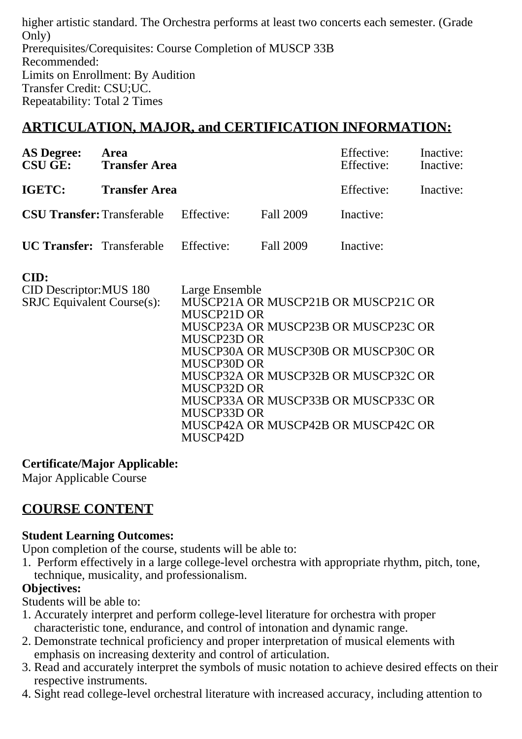higher artistic standard. The Orchestra performs at least two concerts each semester. (Grade Only) Prerequisites/Corequisites: Course Completion of MUSCP 33B Recommended: Limits on Enrollment: By Audition Transfer Credit: CSU;UC. Repeatability: Total 2 Times

# **ARTICULATION, MAJOR, and CERTIFICATION INFORMATION:**

| <b>AS Degree:</b>                            | Area<br><b>CSU GE:</b> Transfer Area<br><b>Transfer Area</b> |  |                  | Effective:<br>Effective:<br>Effective: | Inactive:<br>Inactive:<br>Inactive: |
|----------------------------------------------|--------------------------------------------------------------|--|------------------|----------------------------------------|-------------------------------------|
| <b>IGETC:</b>                                |                                                              |  |                  |                                        |                                     |
| <b>CSU Transfer:</b> Transferable Effective: |                                                              |  | <b>Fall 2009</b> | Inactive:                              |                                     |
| <b>UC Transfer:</b> Transferable Effective:  |                                                              |  | Fall 2009        | Inactive:                              |                                     |

#### **CID:**

| <b>CID Descriptor: MUS 180</b>    | Large Ensemble                      |
|-----------------------------------|-------------------------------------|
| <b>SRJC</b> Equivalent Course(s): | MUSCP21A OR MUSCP21B OR MUSCP21C OR |
|                                   | MUSCP21D OR                         |
|                                   | MUSCP23A OR MUSCP23B OR MUSCP23C OR |
|                                   | MUSCP23D OR                         |
|                                   | MUSCP30A OR MUSCP30B OR MUSCP30C OR |
|                                   | MUSCP30D OR                         |
|                                   | MUSCP32A OR MUSCP32B OR MUSCP32C OR |
|                                   | MUSCP32D OR                         |
|                                   | MUSCP33A OR MUSCP33B OR MUSCP33C OR |
|                                   | MUSCP33D OR                         |
|                                   | MUSCP42A OR MUSCP42B OR MUSCP42C OR |
|                                   | MUSCP42D                            |
|                                   |                                     |

## **Certificate/Major Applicable:**

[Major Applicable Course](SR_ClassCheck.aspx?CourseKey=MUSCP33C)

## **COURSE CONTENT**

## **Student Learning Outcomes:**

Upon completion of the course, students will be able to:

1. Perform effectively in a large college-level orchestra with appropriate rhythm, pitch, tone, technique, musicality, and professionalism.

## **Objectives:**

Students will be able to:

- 1. Accurately interpret and perform college-level literature for orchestra with proper characteristic tone, endurance, and control of intonation and dynamic range.
- 2. Demonstrate technical proficiency and proper interpretation of musical elements with emphasis on increasing dexterity and control of articulation.
- 3. Read and accurately interpret the symbols of music notation to achieve desired effects on their respective instruments.
- 4. Sight read college-level orchestral literature with increased accuracy, including attention to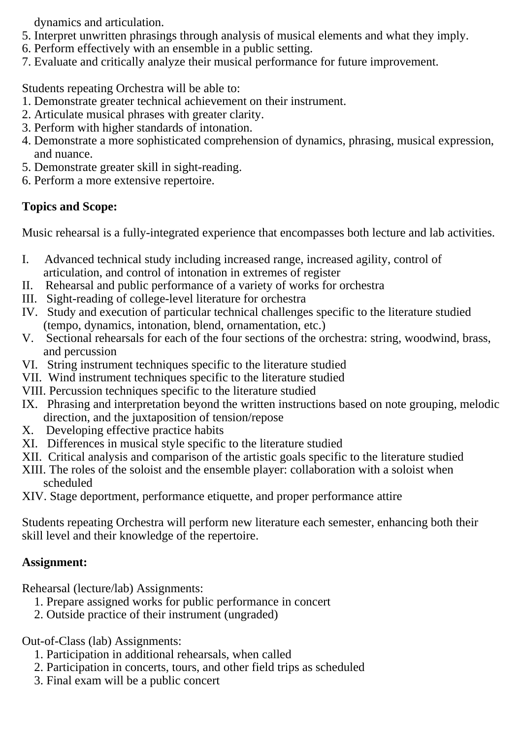dynamics and articulation.

- 5. Interpret unwritten phrasings through analysis of musical elements and what they imply.
- 6. Perform effectively with an ensemble in a public setting.
- 7. Evaluate and critically analyze their musical performance for future improvement.

Students repeating Orchestra will be able to:

- 1. Demonstrate greater technical achievement on their instrument.
- 2. Articulate musical phrases with greater clarity.
- 3. Perform with higher standards of intonation.
- 4. Demonstrate a more sophisticated comprehension of dynamics, phrasing, musical expression, and nuance.
- 5. Demonstrate greater skill in sight-reading.
- 6. Perform a more extensive repertoire.

## **Topics and Scope:**

Music rehearsal is a fully-integrated experience that encompasses both lecture and lab activities.

- I. Advanced technical study including increased range, increased agility, control of articulation, and control of intonation in extremes of register
- II. Rehearsal and public performance of a variety of works for orchestra
- III. Sight-reading of college-level literature for orchestra
- IV. Study and execution of particular technical challenges specific to the literature studied (tempo, dynamics, intonation, blend, ornamentation, etc.)
- V. Sectional rehearsals for each of the four sections of the orchestra: string, woodwind, brass, and percussion
- VI. String instrument techniques specific to the literature studied
- VII. Wind instrument techniques specific to the literature studied
- VIII. Percussion techniques specific to the literature studied
- IX. Phrasing and interpretation beyond the written instructions based on note grouping, melodic direction, and the juxtaposition of tension/repose
- X. Developing effective practice habits
- XI. Differences in musical style specific to the literature studied
- XII. Critical analysis and comparison of the artistic goals specific to the literature studied
- XIII. The roles of the soloist and the ensemble player: collaboration with a soloist when scheduled
- XIV. Stage deportment, performance etiquette, and proper performance attire

Students repeating Orchestra will perform new literature each semester, enhancing both their skill level and their knowledge of the repertoire.

## **Assignment:**

Rehearsal (lecture/lab) Assignments:

- 1. Prepare assigned works for public performance in concert
- 2. Outside practice of their instrument (ungraded)

Out-of-Class (lab) Assignments:

- 1. Participation in additional rehearsals, when called
- 2. Participation in concerts, tours, and other field trips as scheduled
- 3. Final exam will be a public concert